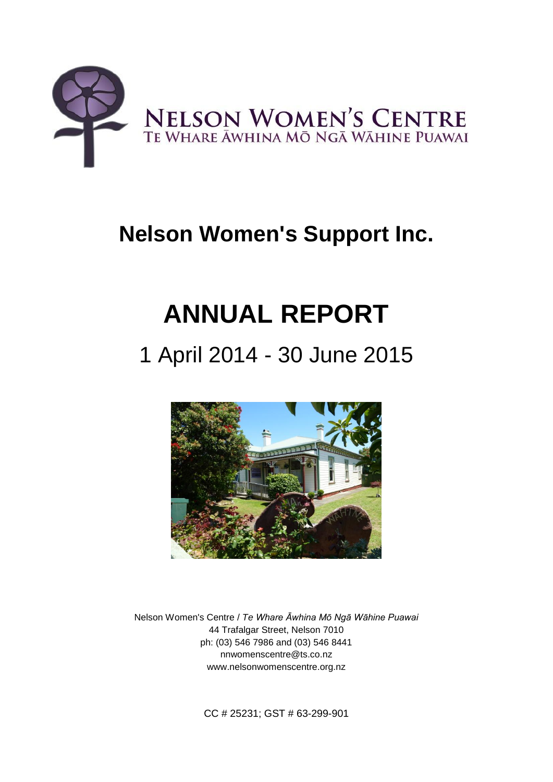

# **Nelson Women's Support Inc.**

# **ANNUAL REPORT**

# 1 April 2014 - 30 June 2015



Nelson Women's Centre / *Te Whare Āwhina Mō Ngā Wāhine Puawai* 44 Trafalgar Street, Nelson 7010 ph: (03) 546 7986 and (03) 546 8441 nnwomenscentre@ts.co.nz www.nelsonwomenscentre.org.nz

CC # 25231; GST # 63-299-901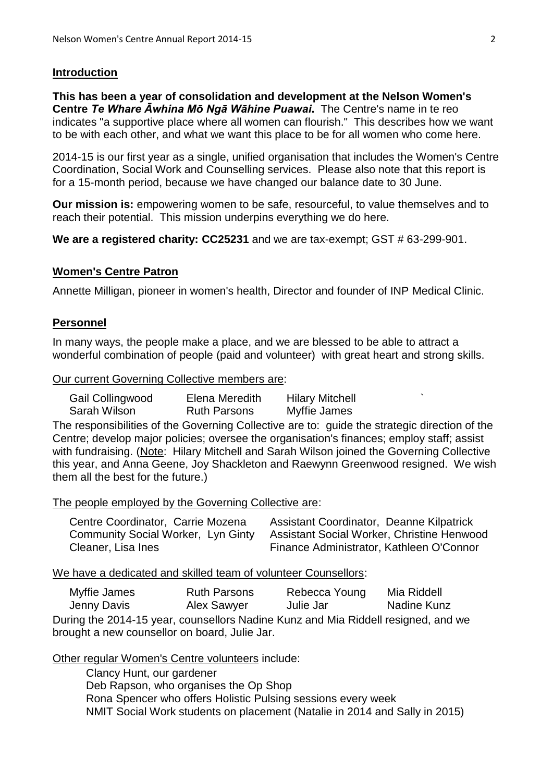# **Introduction**

**This has been a year of consolidation and development at the Nelson Women's Centre** *Te Whare Āwhina Mō Ngā Wāhine Puawai***.** The Centre's name in te reo indicates "a supportive place where all women can flourish." This describes how we want to be with each other, and what we want this place to be for all women who come here.

2014-15 is our first year as a single, unified organisation that includes the Women's Centre Coordination, Social Work and Counselling services. Please also note that this report is for a 15-month period, because we have changed our balance date to 30 June.

**Our mission is:** empowering women to be safe, resourceful, to value themselves and to reach their potential. This mission underpins everything we do here.

**We are a registered charity: CC25231** and we are tax-exempt; GST # 63-299-901.

# **Women's Centre Patron**

Annette Milligan, pioneer in women's health, Director and founder of INP Medical Clinic.

# **Personnel**

In many ways, the people make a place, and we are blessed to be able to attract a wonderful combination of people (paid and volunteer) with great heart and strong skills.

#### Our current Governing Collective members are:

Gail Collingwood Elena Meredith Hilary Mitchell Sarah Wilson **Ruth Parsons** Myffie James

The responsibilities of the Governing Collective are to: guide the strategic direction of the Centre; develop major policies; oversee the organisation's finances; employ staff; assist with fundraising. (Note: Hilary Mitchell and Sarah Wilson joined the Governing Collective this year, and Anna Geene, Joy Shackleton and Raewynn Greenwood resigned. We wish them all the best for the future.)

The people employed by the Governing Collective are:

| Centre Coordinator, Carrie Mozena  | Assistant Coordinator, Deanne Kilpatrick          |
|------------------------------------|---------------------------------------------------|
| Community Social Worker, Lyn Ginty | <b>Assistant Social Worker, Christine Henwood</b> |
| Cleaner, Lisa Ines                 | Finance Administrator, Kathleen O'Connor          |

We have a dedicated and skilled team of volunteer Counsellors:

| Myffie James | <b>Ruth Parsons</b> | Rebecca Young | Mia Riddell        |
|--------------|---------------------|---------------|--------------------|
| Jenny Davis  | Alex Sawyer         | Julie Jar     | <b>Nadine Kunz</b> |
|              |                     |               |                    |

During the 2014-15 year, counsellors Nadine Kunz and Mia Riddell resigned, and we brought a new counsellor on board, Julie Jar.

Other regular Women's Centre volunteers include:

Clancy Hunt, our gardener Deb Rapson, who organises the Op Shop Rona Spencer who offers Holistic Pulsing sessions every week NMIT Social Work students on placement (Natalie in 2014 and Sally in 2015)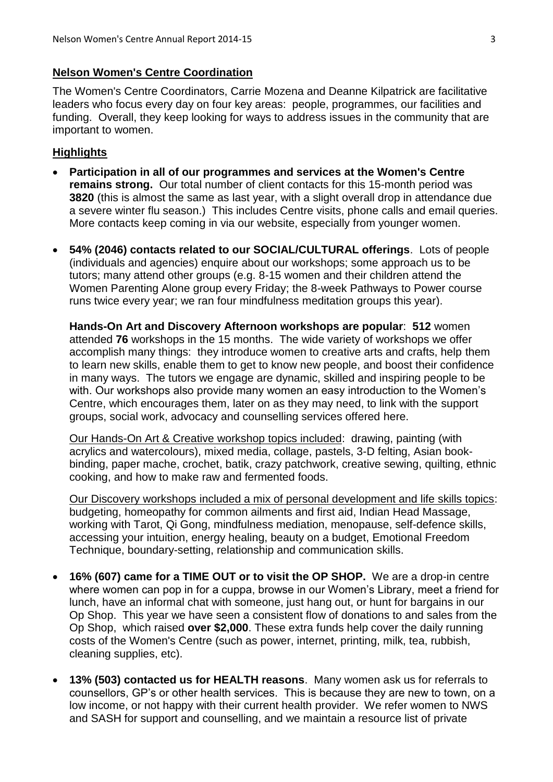#### **Nelson Women's Centre Coordination**

The Women's Centre Coordinators, Carrie Mozena and Deanne Kilpatrick are facilitative leaders who focus every day on four key areas: people, programmes, our facilities and funding. Overall, they keep looking for ways to address issues in the community that are important to women.

#### **Highlights**

- **Participation in all of our programmes and services at the Women's Centre remains strong.** Our total number of client contacts for this 15-month period was **3820** (this is almost the same as last year, with a slight overall drop in attendance due a severe winter flu season.) This includes Centre visits, phone calls and email queries. More contacts keep coming in via our website, especially from younger women.
- **54% (2046) contacts related to our SOCIAL/CULTURAL offerings**. Lots of people (individuals and agencies) enquire about our workshops; some approach us to be tutors; many attend other groups (e.g. 8-15 women and their children attend the Women Parenting Alone group every Friday; the 8-week Pathways to Power course runs twice every year; we ran four mindfulness meditation groups this year).

**Hands-On Art and Discovery Afternoon workshops are popular**: **512** women attended **76** workshops in the 15 months. The wide variety of workshops we offer accomplish many things: they introduce women to creative arts and crafts, help them to learn new skills, enable them to get to know new people, and boost their confidence in many ways. The tutors we engage are dynamic, skilled and inspiring people to be with. Our workshops also provide many women an easy introduction to the Women's Centre, which encourages them, later on as they may need, to link with the support groups, social work, advocacy and counselling services offered here.

Our Hands-On Art & Creative workshop topics included: drawing, painting (with acrylics and watercolours), mixed media, collage, pastels, 3-D felting, Asian bookbinding, paper mache, crochet, batik, crazy patchwork, creative sewing, quilting, ethnic cooking, and how to make raw and fermented foods.

Our Discovery workshops included a mix of personal development and life skills topics: budgeting, homeopathy for common ailments and first aid, Indian Head Massage, working with Tarot, Qi Gong, mindfulness mediation, menopause, self-defence skills, accessing your intuition, energy healing, beauty on a budget, Emotional Freedom Technique, boundary-setting, relationship and communication skills.

- **16% (607) came for a TIME OUT or to visit the OP SHOP.** We are a drop-in centre where women can pop in for a cuppa, browse in our Women's Library, meet a friend for lunch, have an informal chat with someone, just hang out, or hunt for bargains in our Op Shop. This year we have seen a consistent flow of donations to and sales from the Op Shop,which raised **over \$2,000**. These extra funds help cover the daily running costs of the Women's Centre (such as power, internet, printing, milk, tea, rubbish, cleaning supplies, etc).
- **13% (503) contacted us for HEALTH reasons**. Many women ask us for referrals to counsellors, GP's or other health services. This is because they are new to town, on a low income, or not happy with their current health provider. We refer women to NWS and SASH for support and counselling, and we maintain a resource list of private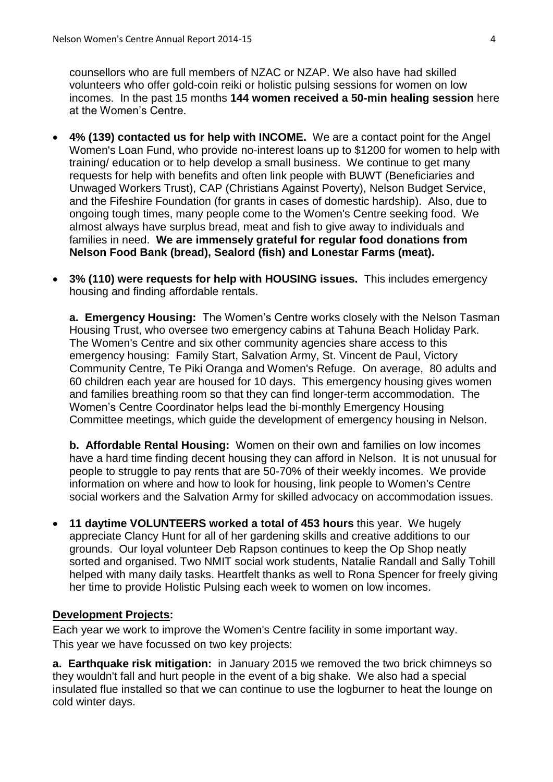counsellors who are full members of NZAC or NZAP. We also have had skilled volunteers who offer gold-coin reiki or holistic pulsing sessions for women on low incomes. In the past 15 months **144 women received a 50-min healing session** here at the Women's Centre.

- **4% (139) contacted us for help with INCOME.** We are a contact point for the Angel Women's Loan Fund, who provide no-interest loans up to \$1200 for women to help with training/ education or to help develop a small business. We continue to get many requests for help with benefits and often link people with BUWT (Beneficiaries and Unwaged Workers Trust), CAP (Christians Against Poverty), Nelson Budget Service, and the Fifeshire Foundation (for grants in cases of domestic hardship). Also, due to ongoing tough times, many people come to the Women's Centre seeking food. We almost always have surplus bread, meat and fish to give away to individuals and families in need. **We are immensely grateful for regular food donations from Nelson Food Bank (bread), Sealord (fish) and Lonestar Farms (meat).**
- **3% (110) were requests for help with HOUSING issues.** This includes emergency housing and finding affordable rentals.

**a. Emergency Housing:** The Women's Centre works closely with the Nelson Tasman Housing Trust, who oversee two emergency cabins at Tahuna Beach Holiday Park. The Women's Centre and six other community agencies share access to this emergency housing: Family Start, Salvation Army, St. Vincent de Paul, Victory Community Centre, Te Piki Oranga and Women's Refuge. On average, 80 adults and 60 children each year are housed for 10 days. This emergency housing gives women and families breathing room so that they can find longer-term accommodation. The Women's Centre Coordinator helps lead the bi-monthly Emergency Housing Committee meetings, which guide the development of emergency housing in Nelson.

**b. Affordable Rental Housing:** Women on their own and families on low incomes have a hard time finding decent housing they can afford in Nelson. It is not unusual for people to struggle to pay rents that are 50-70% of their weekly incomes. We provide information on where and how to look for housing, link people to Women's Centre social workers and the Salvation Army for skilled advocacy on accommodation issues.

 **11 daytime VOLUNTEERS worked a total of 453 hours** this year. We hugely appreciate Clancy Hunt for all of her gardening skills and creative additions to our grounds. Our loyal volunteer Deb Rapson continues to keep the Op Shop neatly sorted and organised. Two NMIT social work students, Natalie Randall and Sally Tohill helped with many daily tasks. Heartfelt thanks as well to Rona Spencer for freely giving her time to provide Holistic Pulsing each week to women on low incomes.

#### **Development Projects:**

Each year we work to improve the Women's Centre facility in some important way. This year we have focussed on two key projects:

**a. Earthquake risk mitigation:** in January 2015 we removed the two brick chimneys so they wouldn't fall and hurt people in the event of a big shake. We also had a special insulated flue installed so that we can continue to use the logburner to heat the lounge on cold winter days.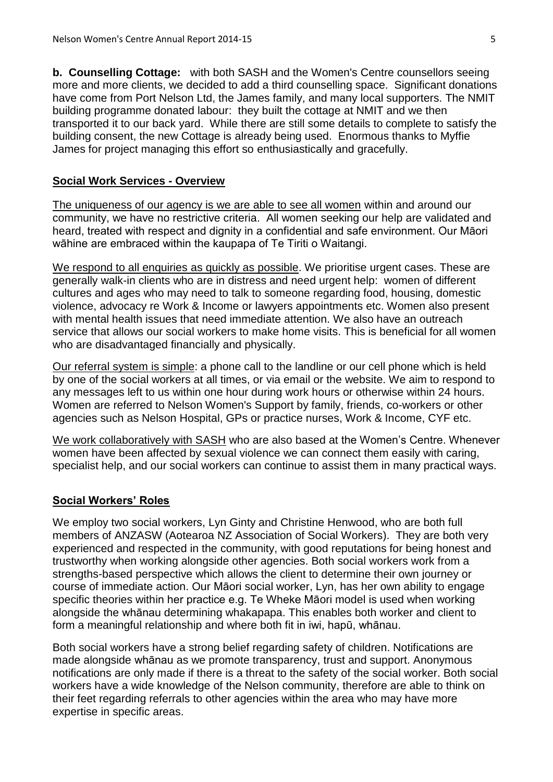**b. Counselling Cottage:** with both SASH and the Women's Centre counsellors seeing more and more clients, we decided to add a third counselling space. Significant donations have come from Port Nelson Ltd, the James family, and many local supporters. The NMIT building programme donated labour: they built the cottage at NMIT and we then transported it to our back yard. While there are still some details to complete to satisfy the building consent, the new Cottage is already being used. Enormous thanks to Myffie James for project managing this effort so enthusiastically and gracefully.

#### **Social Work Services - Overview**

The uniqueness of our agency is we are able to see all women within and around our community, we have no restrictive criteria. All women seeking our help are validated and heard, treated with respect and dignity in a confidential and safe environment. Our Māori wāhine are embraced within the kaupapa of Te Tiriti o Waitangi.

We respond to all enquiries as quickly as possible. We prioritise urgent cases. These are generally walk-in clients who are in distress and need urgent help: women of different cultures and ages who may need to talk to someone regarding food, housing, domestic violence, advocacy re Work & Income or lawyers appointments etc. Women also present with mental health issues that need immediate attention. We also have an outreach service that allows our social workers to make home visits. This is beneficial for all women who are disadvantaged financially and physically.

Our referral system is simple: a phone call to the landline or our cell phone which is held by one of the social workers at all times, or via email or the website. We aim to respond to any messages left to us within one hour during work hours or otherwise within 24 hours. Women are referred to Nelson Women's Support by family, friends, co-workers or other agencies such as Nelson Hospital, GPs or practice nurses, Work & Income, CYF etc.

We work collaboratively with SASH who are also based at the Women's Centre. Whenever women have been affected by sexual violence we can connect them easily with caring, specialist help, and our social workers can continue to assist them in many practical ways.

#### **Social Workers' Roles**

We employ two social workers, Lyn Ginty and Christine Henwood, who are both full members of ANZASW (Aotearoa NZ Association of Social Workers). They are both very experienced and respected in the community, with good reputations for being honest and trustworthy when working alongside other agencies. Both social workers work from a strengths-based perspective which allows the client to determine their own journey or course of immediate action. Our Māori social worker, Lyn, has her own ability to engage specific theories within her practice e.g. Te Wheke Māori model is used when working alongside the whānau determining whakapapa. This enables both worker and client to form a meaningful relationship and where both fit in iwi, hapū, whānau.

Both social workers have a strong belief regarding safety of children. Notifications are made alongside whānau as we promote transparency, trust and support. Anonymous notifications are only made if there is a threat to the safety of the social worker. Both social workers have a wide knowledge of the Nelson community, therefore are able to think on their feet regarding referrals to other agencies within the area who may have more expertise in specific areas.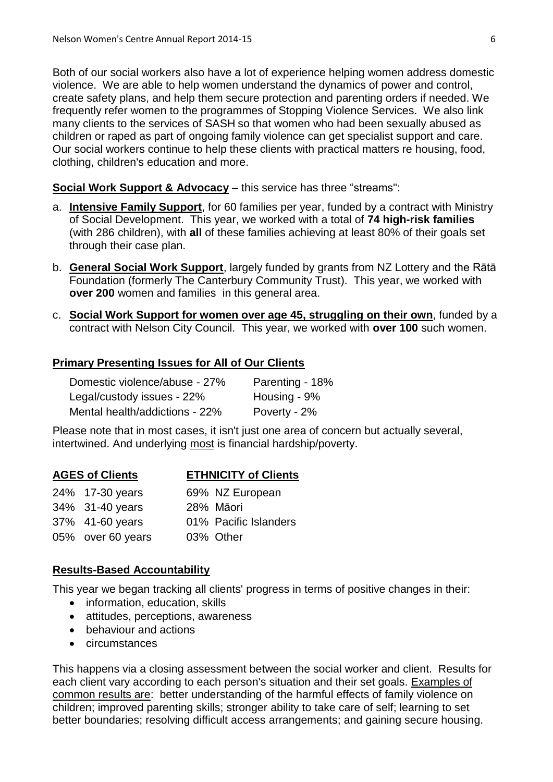Both of our social workers also have a lot of experience helping women address domestic violence. We are able to help women understand the dynamics of power and control, create safety plans, and help them secure protection and parenting orders if needed. We frequently refer women to the programmes of Stopping Violence Services. We also link many clients to the services of SASH so that women who had been sexually abused as children or raped as part of ongoing family violence can get specialist support and care. Our social workers continue to help these clients with practical matters re housing, food, clothing, children's education and more.

#### **Social Work Support & Advocacy** – this service has three "streams":

- a. **Intensive Family Support**, for 60 families per year, funded by a contract with Ministry of Social Development. This year, we worked with a total of **74 high-risk families** (with 286 children), with **all** of these families achieving at least 80% of their goals set through their case plan.
- b. **General Social Work Support**, largely funded by grants from NZ Lottery and the Rātā Foundation (formerly The Canterbury Community Trust). This year, we worked with **over 200** women and families in this general area.
- c. **Social Work Support for women over age 45, struggling on their own**, funded by a contract with Nelson City Council. This year, we worked with **over 100** such women.

#### **Primary Presenting Issues for All of Our Clients**

| Domestic violence/abuse - 27%  | Parenting - 18% |
|--------------------------------|-----------------|
| Legal/custody issues - 22%     | Housing - 9%    |
| Mental health/addictions - 22% | Poverty - 2%    |

Please note that in most cases, it isn't just one area of concern but actually several, intertwined. And underlying most is financial hardship/poverty.

| <b>AGES of Clients</b> |                   | <b>ETHNICITY of Clients</b> |  |
|------------------------|-------------------|-----------------------------|--|
|                        | 24% 17-30 years   | 69% NZ European             |  |
|                        | 34% 31-40 years   | 28% Māori                   |  |
|                        | 37% 41-60 years   | 01% Pacific Islanders       |  |
|                        | 05% over 60 years | 03% Other                   |  |

#### **Results-Based Accountability**

This year we began tracking all clients' progress in terms of positive changes in their:

- information, education, skills
- attitudes, perceptions, awareness
- behaviour and actions
- circumstances

This happens via a closing assessment between the social worker and client. Results for each client vary according to each person's situation and their set goals. Examples of common results are: better understanding of the harmful effects of family violence on children; improved parenting skills; stronger ability to take care of self; learning to set better boundaries; resolving difficult access arrangements; and gaining secure housing.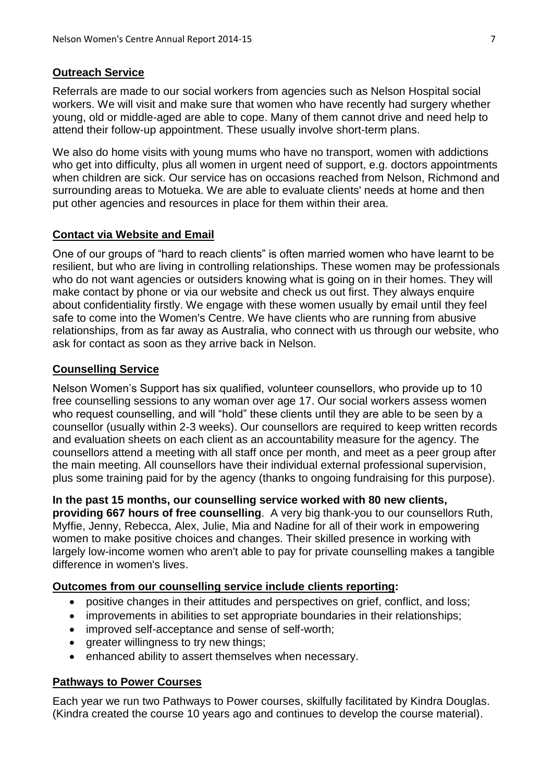# **Outreach Service**

Referrals are made to our social workers from agencies such as Nelson Hospital social workers. We will visit and make sure that women who have recently had surgery whether young, old or middle-aged are able to cope. Many of them cannot drive and need help to attend their follow-up appointment. These usually involve short-term plans.

We also do home visits with young mums who have no transport, women with addictions who get into difficulty, plus all women in urgent need of support, e.g. doctors appointments when children are sick. Our service has on occasions reached from Nelson, Richmond and surrounding areas to Motueka. We are able to evaluate clients' needs at home and then put other agencies and resources in place for them within their area.

# **Contact via Website and Email**

One of our groups of "hard to reach clients" is often married women who have learnt to be resilient, but who are living in controlling relationships. These women may be professionals who do not want agencies or outsiders knowing what is going on in their homes. They will make contact by phone or via our website and check us out first. They always enquire about confidentiality firstly. We engage with these women usually by email until they feel safe to come into the Women's Centre. We have clients who are running from abusive relationships, from as far away as Australia, who connect with us through our website, who ask for contact as soon as they arrive back in Nelson.

# **Counselling Service**

Nelson Women's Support has six qualified, volunteer counsellors, who provide up to 10 free counselling sessions to any woman over age 17. Our social workers assess women who request counselling, and will "hold" these clients until they are able to be seen by a counsellor (usually within 2-3 weeks). Our counsellors are required to keep written records and evaluation sheets on each client as an accountability measure for the agency. The counsellors attend a meeting with all staff once per month, and meet as a peer group after the main meeting. All counsellors have their individual external professional supervision, plus some training paid for by the agency (thanks to ongoing fundraising for this purpose).

**In the past 15 months, our counselling service worked with 80 new clients, providing 667 hours of free counselling**. A very big thank-you to our counsellors Ruth, Myffie, Jenny, Rebecca, Alex, Julie, Mia and Nadine for all of their work in empowering women to make positive choices and changes. Their skilled presence in working with largely low-income women who aren't able to pay for private counselling makes a tangible difference in women's lives.

# **Outcomes from our counselling service include clients reporting:**

- positive changes in their attitudes and perspectives on grief, conflict, and loss;
- improvements in abilities to set appropriate boundaries in their relationships;
- improved self-acceptance and sense of self-worth;
- greater willingness to try new things;
- enhanced ability to assert themselves when necessary.

# **Pathways to Power Courses**

Each year we run two Pathways to Power courses, skilfully facilitated by Kindra Douglas. (Kindra created the course 10 years ago and continues to develop the course material).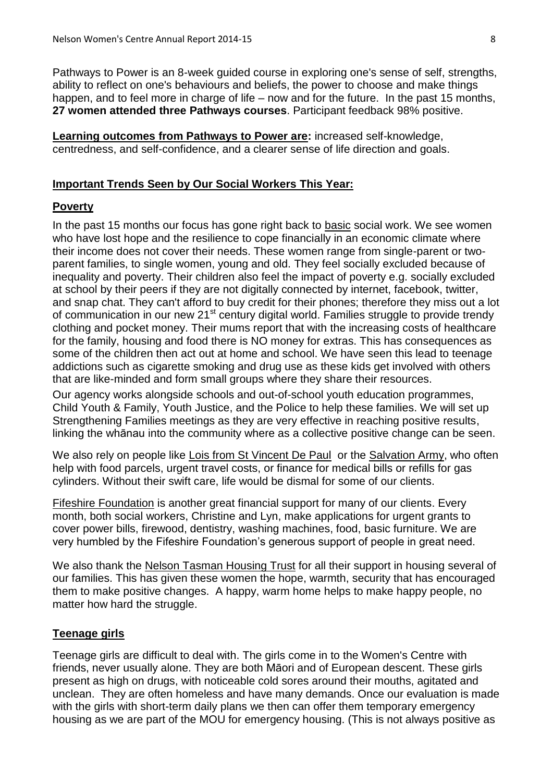Pathways to Power is an 8-week guided course in exploring one's sense of self, strengths, ability to reflect on one's behaviours and beliefs, the power to choose and make things happen, and to feel more in charge of life – now and for the future. In the past 15 months, **27 women attended three Pathways courses**. Participant feedback 98% positive.

**Learning outcomes from Pathways to Power are:** increased self-knowledge, centredness, and self-confidence, and a clearer sense of life direction and goals.

#### **Important Trends Seen by Our Social Workers This Year:**

#### **Poverty**

In the past 15 months our focus has gone right back to basic social work. We see women who have lost hope and the resilience to cope financially in an economic climate where their income does not cover their needs. These women range from single-parent or twoparent families, to single women, young and old. They feel socially excluded because of inequality and poverty. Their children also feel the impact of poverty e.g. socially excluded at school by their peers if they are not digitally connected by internet, facebook, twitter, and snap chat. They can't afford to buy credit for their phones; therefore they miss out a lot of communication in our new 21<sup>st</sup> century digital world. Families struggle to provide trendy clothing and pocket money. Their mums report that with the increasing costs of healthcare for the family, housing and food there is NO money for extras. This has consequences as some of the children then act out at home and school. We have seen this lead to teenage addictions such as cigarette smoking and drug use as these kids get involved with others that are like-minded and form small groups where they share their resources.

Our agency works alongside schools and out-of-school youth education programmes, Child Youth & Family, Youth Justice, and the Police to help these families. We will set up Strengthening Families meetings as they are very effective in reaching positive results, linking the whānau into the community where as a collective positive change can be seen.

We also rely on people like Lois from St Vincent De Paul or the Salvation Army, who often help with food parcels, urgent travel costs, or finance for medical bills or refills for gas cylinders. Without their swift care, life would be dismal for some of our clients.

Fifeshire Foundation is another great financial support for many of our clients. Every month, both social workers, Christine and Lyn, make applications for urgent grants to cover power bills, firewood, dentistry, washing machines, food, basic furniture. We are very humbled by the Fifeshire Foundation's generous support of people in great need.

We also thank the Nelson Tasman Housing Trust for all their support in housing several of our families. This has given these women the hope, warmth, security that has encouraged them to make positive changes. A happy, warm home helps to make happy people, no matter how hard the struggle.

# **Teenage girls**

Teenage girls are difficult to deal with. The girls come in to the Women's Centre with friends, never usually alone. They are both Māori and of European descent. These girls present as high on drugs, with noticeable cold sores around their mouths, agitated and unclean. They are often homeless and have many demands. Once our evaluation is made with the girls with short-term daily plans we then can offer them temporary emergency housing as we are part of the MOU for emergency housing. (This is not always positive as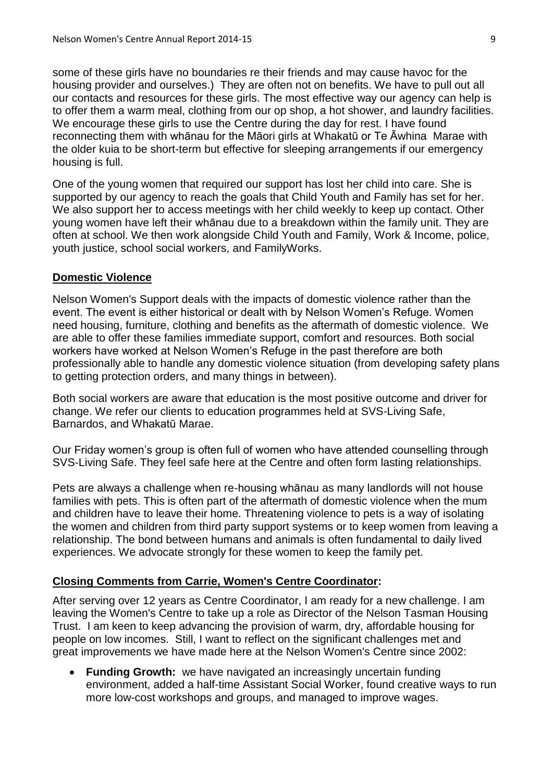some of these girls have no boundaries re their friends and may cause havoc for the housing provider and ourselves.) They are often not on benefits. We have to pull out all our contacts and resources for these girls. The most effective way our agency can help is to offer them a warm meal, clothing from our op shop, a hot shower, and laundry facilities. We encourage these girls to use the Centre during the day for rest. I have found reconnecting them with whānau for the Māori girls at Whakatū or Te Āwhina Marae with the older kuia to be short-term but effective for sleeping arrangements if our emergency housing is full.

One of the young women that required our support has lost her child into care. She is supported by our agency to reach the goals that Child Youth and Family has set for her. We also support her to access meetings with her child weekly to keep up contact. Other young women have left their whānau due to a breakdown within the family unit. They are often at school. We then work alongside Child Youth and Family, Work & Income, police, youth justice, school social workers, and FamilyWorks.

#### **Domestic Violence**

Nelson Women's Support deals with the impacts of domestic violence rather than the event. The event is either historical or dealt with by Nelson Women's Refuge. Women need housing, furniture, clothing and benefits as the aftermath of domestic violence. We are able to offer these families immediate support, comfort and resources. Both social workers have worked at Nelson Women's Refuge in the past therefore are both professionally able to handle any domestic violence situation (from developing safety plans to getting protection orders, and many things in between).

Both social workers are aware that education is the most positive outcome and driver for change. We refer our clients to education programmes held at SVS-Living Safe, Barnardos, and Whakatū Marae.

Our Friday women's group is often full of women who have attended counselling through SVS-Living Safe. They feel safe here at the Centre and often form lasting relationships.

Pets are always a challenge when re-housing whānau as many landlords will not house families with pets. This is often part of the aftermath of domestic violence when the mum and children have to leave their home. Threatening violence to pets is a way of isolating the women and children from third party support systems or to keep women from leaving a relationship. The bond between humans and animals is often fundamental to daily lived experiences. We advocate strongly for these women to keep the family pet.

### **Closing Comments from Carrie, Women's Centre Coordinator:**

After serving over 12 years as Centre Coordinator, I am ready for a new challenge. I am leaving the Women's Centre to take up a role as Director of the Nelson Tasman Housing Trust. I am keen to keep advancing the provision of warm, dry, affordable housing for people on low incomes. Still, I want to reflect on the significant challenges met and great improvements we have made here at the Nelson Women's Centre since 2002:

 **Funding Growth:** we have navigated an increasingly uncertain funding environment, added a half-time Assistant Social Worker, found creative ways to run more low-cost workshops and groups, and managed to improve wages.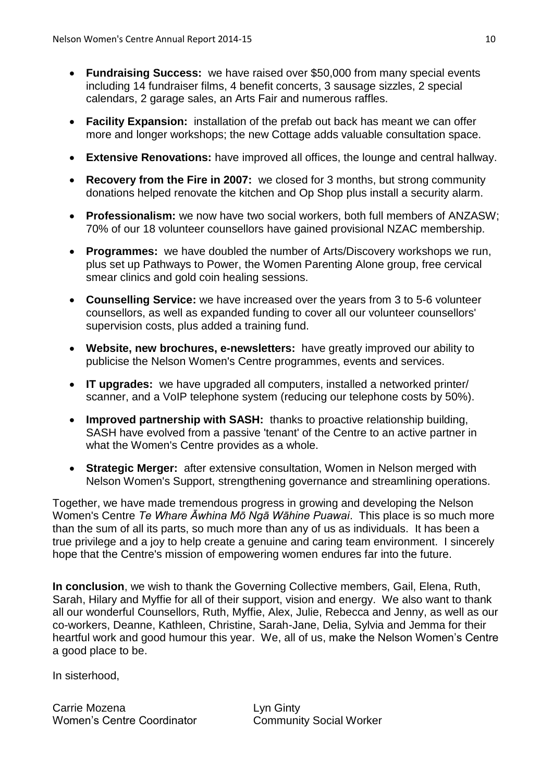- **Fundraising Success:** we have raised over \$50,000 from many special events including 14 fundraiser films, 4 benefit concerts, 3 sausage sizzles, 2 special calendars, 2 garage sales, an Arts Fair and numerous raffles.
- **Facility Expansion:** installation of the prefab out back has meant we can offer more and longer workshops; the new Cottage adds valuable consultation space.
- **Extensive Renovations:** have improved all offices, the lounge and central hallway.
- **Recovery from the Fire in 2007:** we closed for 3 months, but strong community donations helped renovate the kitchen and Op Shop plus install a security alarm.
- **Professionalism:** we now have two social workers, both full members of ANZASW; 70% of our 18 volunteer counsellors have gained provisional NZAC membership.
- **Programmes:** we have doubled the number of Arts/Discovery workshops we run, plus set up Pathways to Power, the Women Parenting Alone group, free cervical smear clinics and gold coin healing sessions.
- **Counselling Service:** we have increased over the years from 3 to 5-6 volunteer counsellors, as well as expanded funding to cover all our volunteer counsellors' supervision costs, plus added a training fund.
- **Website, new brochures, e-newsletters:** have greatly improved our ability to publicise the Nelson Women's Centre programmes, events and services.
- **IT upgrades:** we have upgraded all computers, installed a networked printer/ scanner, and a VoIP telephone system (reducing our telephone costs by 50%).
- **Improved partnership with SASH:** thanks to proactive relationship building, SASH have evolved from a passive 'tenant' of the Centre to an active partner in what the Women's Centre provides as a whole.
- **Strategic Merger:** after extensive consultation, Women in Nelson merged with Nelson Women's Support, strengthening governance and streamlining operations.

Together, we have made tremendous progress in growing and developing the Nelson Women's Centre *Te Whare Āwhina Mō Ngā Wāhine Puawai*. This place is so much more than the sum of all its parts, so much more than any of us as individuals. It has been a true privilege and a joy to help create a genuine and caring team environment. I sincerely hope that the Centre's mission of empowering women endures far into the future.

**In conclusion**, we wish to thank the Governing Collective members, Gail, Elena, Ruth, Sarah, Hilary and Myffie for all of their support, vision and energy. We also want to thank all our wonderful Counsellors, Ruth, Myffie, Alex, Julie, Rebecca and Jenny, as well as our co-workers, Deanne, Kathleen, Christine, Sarah-Jane, Delia, Sylvia and Jemma for their heartful work and good humour this year. We, all of us, make the Nelson Women's Centre a good place to be.

In sisterhood,

Carrie Mozena **Lyn Ginty** Women's Centre Coordinator **Community Social Worker**